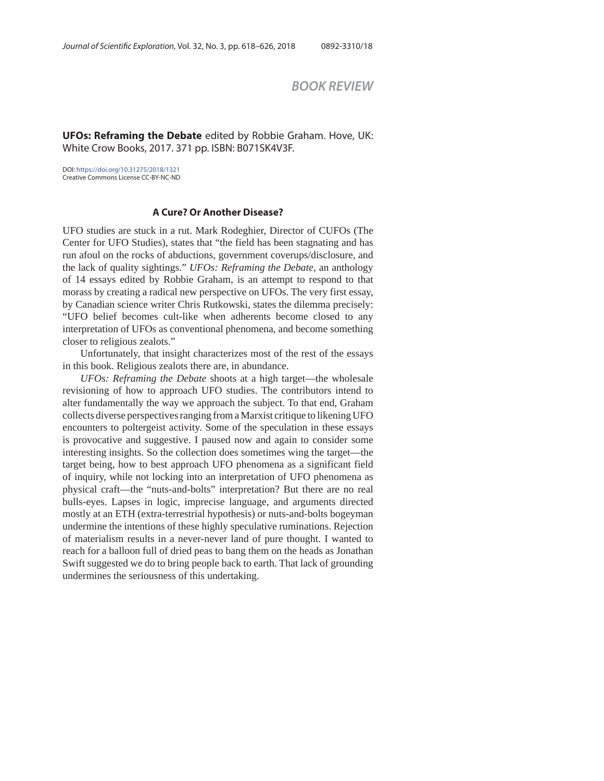## *BOOK REVIEW*

**UFOs: Reframing the Debate** edited by Robbie Graham. Hove, UK: White Crow Books, 2017. 371 pp. ISBN: B071SK4V3F.

DOI: https://doi.org/10.31275/2018/1321 Creative Commons License CC-BY-NC-ND

UFO studies are stuck in a rut. Mark Rodeghier, Director of CUFOs (The Center for UFO Studies), states that "the field has been stagnating and has run afoul on the rocks of abductions, government coverups/disclosure, and the lack of quality sightings." *UFOs: Reframing the Debate*, an anthology of 14 essays edited by Robbie Graham, is an attempt to respond to that morass by creating a radical new perspective on UFOs. The very first essay, by Canadian science writer Chris Rutkowski, states the dilemma precisely: "UFO belief becomes cult-like when adherents become closed to any interpretation of UFOs as conventional phenomena, and become something closer to religious zealots."

Unfortunately, that insight characterizes most of the rest of the essays in this book. Religious zealots there are, in abundance.

*UFOs: Reframing the Debate* shoots at a high target—the wholesale revisioning of how to approach UFO studies. The contributors intend to alter fundamentally the way we approach the subject. To that end, Graham collects diverse perspectives ranging from a Marxist critique to likening UFO encounters to poltergeist activity. Some of the speculation in these essays is provocative and suggestive. I paused now and again to consider some interesting insights. So the collection does sometimes wing the target—the target being, how to best approach UFO phenomena as a significant field of inquiry, while not locking into an interpretation of UFO phenomena as physical craft—the "nuts-and-bolts" interpretation? But there are no real bulls-eyes. Lapses in logic, imprecise language, and arguments directed mostly at an ETH (extra-terrestrial hypothesis) or nuts-and-bolts bogeyman undermine the intentions of these highly speculative ruminations. Rejection of materialism results in a never-never land of pure thought. I wanted to reach for a balloon full of dried peas to bang them on the heads as Jonathan Swift suggested we do to bring people back to earth. That lack of grounding undermines the seriousness of this undertaking.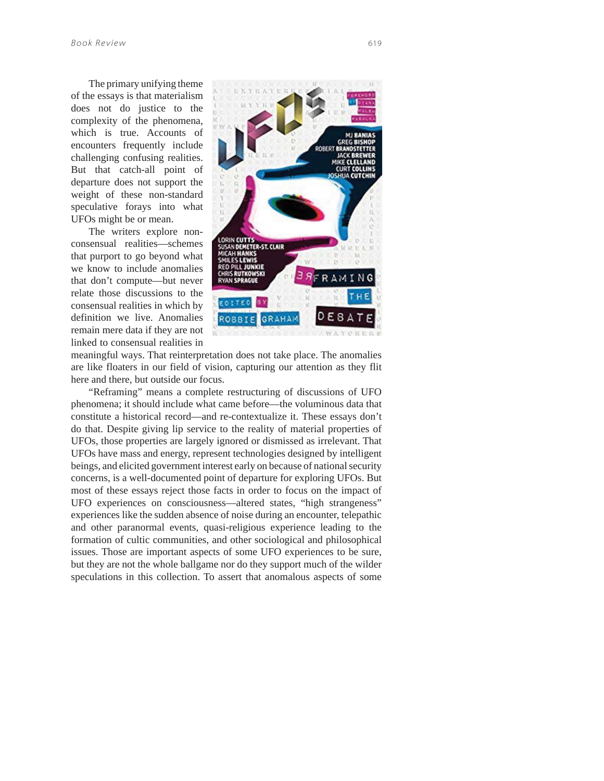The primary unifying theme of the essays is that materialism does not do justice to the complexity of the phenomena, which is true. Accounts of encounters frequently include challenging confusing realities. But that catch-all point of departure does not support the weight of these non-standard speculative forays into what UFOs might be or mean.

The writers explore nonconsensual realities—schemes that purport to go beyond what we know to include anomalies that don't compute—but never relate those discussions to the consensual realities in which by definition we live. Anomalies remain mere data if they are not linked to consensual realities in



meaningful ways. That reinterpretation does not take place. The anomalies are like floaters in our field of vision, capturing our attention as they flit here and there, but outside our focus.

"Reframing" means a complete restructuring of discussions of UFO phenomena; it should include what came before—the voluminous data that constitute a historical record—and re-contextualize it. These essays don't do that. Despite giving lip service to the reality of material properties of UFOs, those properties are largely ignored or dismissed as irrelevant. That UFOs have mass and energy, represent technologies designed by intelligent beings, and elicited government interest early on because of national security concerns, is a well-documented point of departure for exploring UFOs. But most of these essays reject those facts in order to focus on the impact of UFO experiences on consciousness—altered states, "high strangeness" experiences like the sudden absence of noise during an encounter, telepathic and other paranormal events, quasi-religious experience leading to the formation of cultic communities, and other sociological and philosophical issues. Those are important aspects of some UFO experiences to be sure, but they are not the whole ballgame nor do they support much of the wilder speculations in this collection. To assert that anomalous aspects of some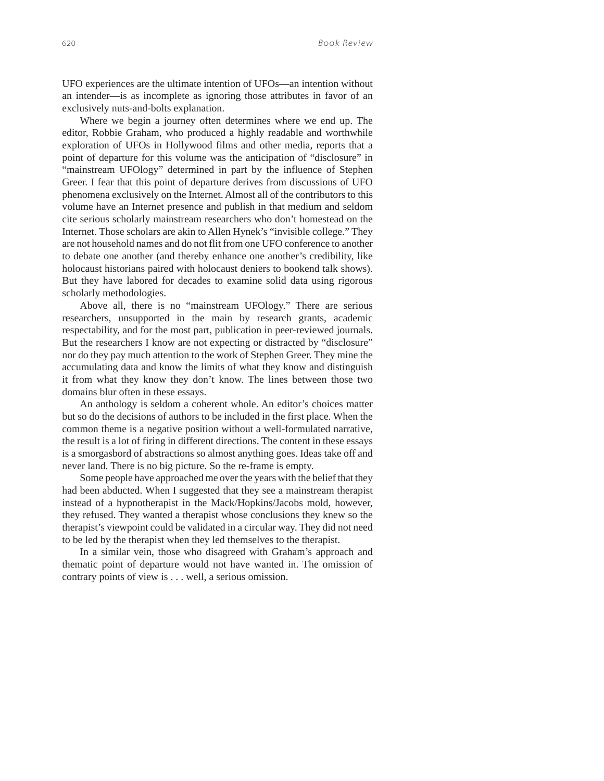UFO experiences are the ultimate intention of UFOs—an intention without an intender—is as incomplete as ignoring those attributes in favor of an exclusively nuts-and-bolts explanation.

Where we begin a journey often determines where we end up. The editor, Robbie Graham, who produced a highly readable and worthwhile exploration of UFOs in Hollywood films and other media, reports that a point of departure for this volume was the anticipation of "disclosure" in "mainstream UFOlogy" determined in part by the influence of Stephen Greer. I fear that this point of departure derives from discussions of UFO phenomena exclusively on the Internet. Almost all of the contributors to this volume have an Internet presence and publish in that medium and seldom cite serious scholarly mainstream researchers who don't homestead on the Internet. Those scholars are akin to Allen Hynek's "invisible college." They are not household names and do not flit from one UFO conference to another to debate one another (and thereby enhance one another's credibility, like holocaust historians paired with holocaust deniers to bookend talk shows). But they have labored for decades to examine solid data using rigorous scholarly methodologies.

Above all, there is no "mainstream UFOlogy." There are serious researchers, unsupported in the main by research grants, academic respectability, and for the most part, publication in peer-reviewed journals. But the researchers I know are not expecting or distracted by "disclosure" nor do they pay much attention to the work of Stephen Greer. They mine the accumulating data and know the limits of what they know and distinguish it from what they know they don't know. The lines between those two domains blur often in these essays.

An anthology is seldom a coherent whole. An editor's choices matter but so do the decisions of authors to be included in the first place. When the common theme is a negative position without a well-formulated narrative, the result is a lot of firing in different directions. The content in these essays is a smorgasbord of abstractions so almost anything goes. Ideas take off and never land. There is no big picture. So the re-frame is empty.

Some people have approached me over the years with the belief that they had been abducted. When I suggested that they see a mainstream therapist instead of a hypnotherapist in the Mack/Hopkins/Jacobs mold, however, they refused. They wanted a therapist whose conclusions they knew so the therapist's viewpoint could be validated in a circular way. They did not need to be led by the therapist when they led themselves to the therapist.

In a similar vein, those who disagreed with Graham's approach and thematic point of departure would not have wanted in. The omission of contrary points of view is . . . well, a serious omission.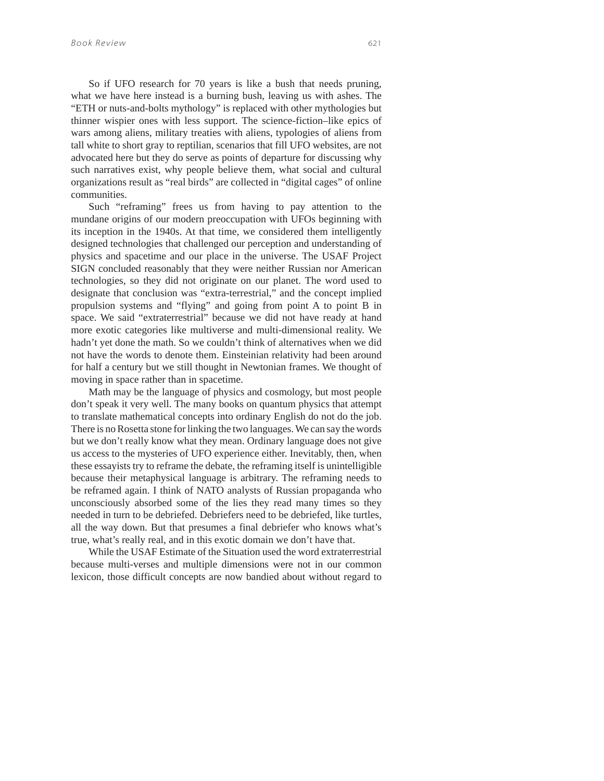So if UFO research for 70 years is like a bush that needs pruning, what we have here instead is a burning bush, leaving us with ashes. The "ETH or nuts-and-bolts mythology" is replaced with other mythologies but thinner wispier ones with less support. The science-fiction–like epics of wars among aliens, military treaties with aliens, typologies of aliens from tall white to short gray to reptilian, scenarios that fill UFO websites, are not advocated here but they do serve as points of departure for discussing why such narratives exist, why people believe them, what social and cultural organizations result as "real birds" are collected in "digital cages" of online communities.

Such "reframing" frees us from having to pay attention to the mundane origins of our modern preoccupation with UFOs beginning with its inception in the 1940s. At that time, we considered them intelligently designed technologies that challenged our perception and understanding of physics and spacetime and our place in the universe. The USAF Project SIGN concluded reasonably that they were neither Russian nor American technologies, so they did not originate on our planet. The word used to designate that conclusion was "extra-terrestrial," and the concept implied propulsion systems and "flying" and going from point A to point B in space. We said "extraterrestrial" because we did not have ready at hand more exotic categories like multiverse and multi-dimensional reality. We hadn't yet done the math. So we couldn't think of alternatives when we did not have the words to denote them. Einsteinian relativity had been around for half a century but we still thought in Newtonian frames. We thought of moving in space rather than in spacetime.

Math may be the language of physics and cosmology, but most people don't speak it very well. The many books on quantum physics that attempt to translate mathematical concepts into ordinary English do not do the job. There is no Rosetta stone for linking the two languages. We can say the words but we don't really know what they mean. Ordinary language does not give us access to the mysteries of UFO experience either. Inevitably, then, when these essayists try to reframe the debate, the reframing itself is unintelligible because their metaphysical language is arbitrary. The reframing needs to be reframed again. I think of NATO analysts of Russian propaganda who unconsciously absorbed some of the lies they read many times so they needed in turn to be debriefed. Debriefers need to be debriefed, like turtles, all the way down. But that presumes a final debriefer who knows what's true, what's really real, and in this exotic domain we don't have that.

While the USAF Estimate of the Situation used the word extraterrestrial because multi-verses and multiple dimensions were not in our common lexicon, those difficult concepts are now bandied about without regard to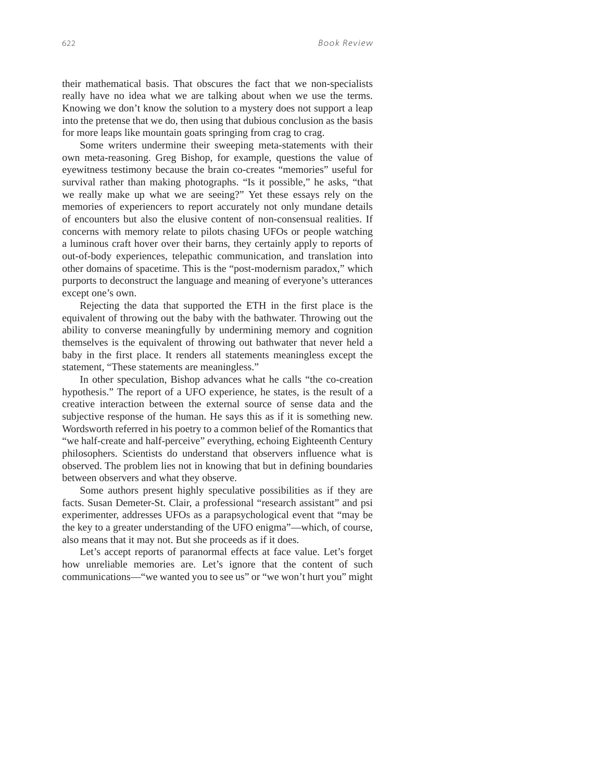their mathematical basis. That obscures the fact that we non-specialists really have no idea what we are talking about when we use the terms. Knowing we don't know the solution to a mystery does not support a leap into the pretense that we do, then using that dubious conclusion as the basis for more leaps like mountain goats springing from crag to crag.

Some writers undermine their sweeping meta-statements with their own meta-reasoning. Greg Bishop, for example, questions the value of eyewitness testimony because the brain co-creates "memories" useful for survival rather than making photographs. "Is it possible," he asks, "that we really make up what we are seeing?" Yet these essays rely on the memories of experiencers to report accurately not only mundane details of encounters but also the elusive content of non-consensual realities. If concerns with memory relate to pilots chasing UFOs or people watching a luminous craft hover over their barns, they certainly apply to reports of out-of-body experiences, telepathic communication, and translation into other domains of spacetime. This is the "post-modernism paradox," which purports to deconstruct the language and meaning of everyone's utterances except one's own.

Rejecting the data that supported the ETH in the first place is the equivalent of throwing out the baby with the bathwater. Throwing out the ability to converse meaningfully by undermining memory and cognition themselves is the equivalent of throwing out bathwater that never held a baby in the first place. It renders all statements meaningless except the statement, "These statements are meaningless."

In other speculation, Bishop advances what he calls "the co-creation hypothesis." The report of a UFO experience, he states, is the result of a creative interaction between the external source of sense data and the subjective response of the human. He says this as if it is something new. Wordsworth referred in his poetry to a common belief of the Romantics that "we half-create and half-perceive" everything, echoing Eighteenth Century philosophers. Scientists do understand that observers influence what is observed. The problem lies not in knowing that but in defining boundaries between observers and what they observe.

Some authors present highly speculative possibilities as if they are facts. Susan Demeter-St. Clair, a professional "research assistant" and psi experimenter, addresses UFOs as a parapsychological event that "may be the key to a greater understanding of the UFO enigma"—which, of course, also means that it may not. But she proceeds as if it does.

Let's accept reports of paranormal effects at face value. Let's forget how unreliable memories are. Let's ignore that the content of such communications—"we wanted you to see us" or "we won't hurt you" might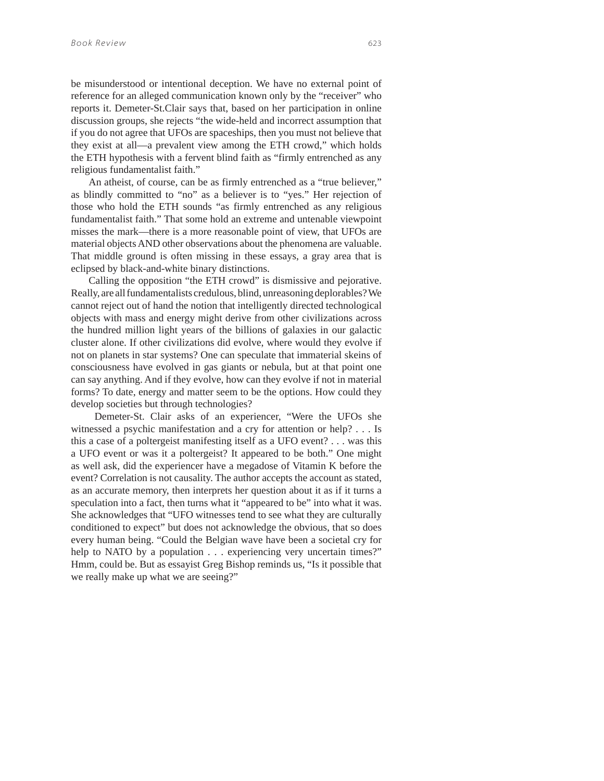be misunderstood or intentional deception. We have no external point of reference for an alleged communication known only by the "receiver" who reports it. Demeter-St.Clair says that, based on her participation in online discussion groups, she rejects "the wide-held and incorrect assumption that if you do not agree that UFOs are spaceships, then you must not believe that they exist at all—a prevalent view among the ETH crowd," which holds the ETH hypothesis with a fervent blind faith as "firmly entrenched as any religious fundamentalist faith."

An atheist, of course, can be as firmly entrenched as a "true believer," as blindly committed to "no" as a believer is to "yes." Her rejection of those who hold the ETH sounds "as firmly entrenched as any religious fundamentalist faith." That some hold an extreme and untenable viewpoint misses the mark—there is a more reasonable point of view, that UFOs are material objects AND other observations about the phenomena are valuable. That middle ground is often missing in these essays, a gray area that is eclipsed by black-and-white binary distinctions.

Calling the opposition "the ETH crowd" is dismissive and pejorative. Really, are all fundamentalists credulous, blind, unreasoning deplorables? We cannot reject out of hand the notion that intelligently directed technological objects with mass and energy might derive from other civilizations across the hundred million light years of the billions of galaxies in our galactic cluster alone. If other civilizations did evolve, where would they evolve if not on planets in star systems? One can speculate that immaterial skeins of consciousness have evolved in gas giants or nebula, but at that point one can say anything. And if they evolve, how can they evolve if not in material forms? To date, energy and matter seem to be the options. How could they develop societies but through technologies?

 Demeter-St. Clair asks of an experiencer, "Were the UFOs she witnessed a psychic manifestation and a cry for attention or help? . . . Is this a case of a poltergeist manifesting itself as a UFO event? . . . was this a UFO event or was it a poltergeist? It appeared to be both." One might as well ask, did the experiencer have a megadose of Vitamin K before the event? Correlation is not causality. The author accepts the account as stated, as an accurate memory, then interprets her question about it as if it turns a speculation into a fact, then turns what it "appeared to be" into what it was. She acknowledges that "UFO witnesses tend to see what they are culturally conditioned to expect" but does not acknowledge the obvious, that so does every human being. "Could the Belgian wave have been a societal cry for help to NATO by a population . . . experiencing very uncertain times?" Hmm, could be. But as essayist Greg Bishop reminds us, "Is it possible that we really make up what we are seeing?"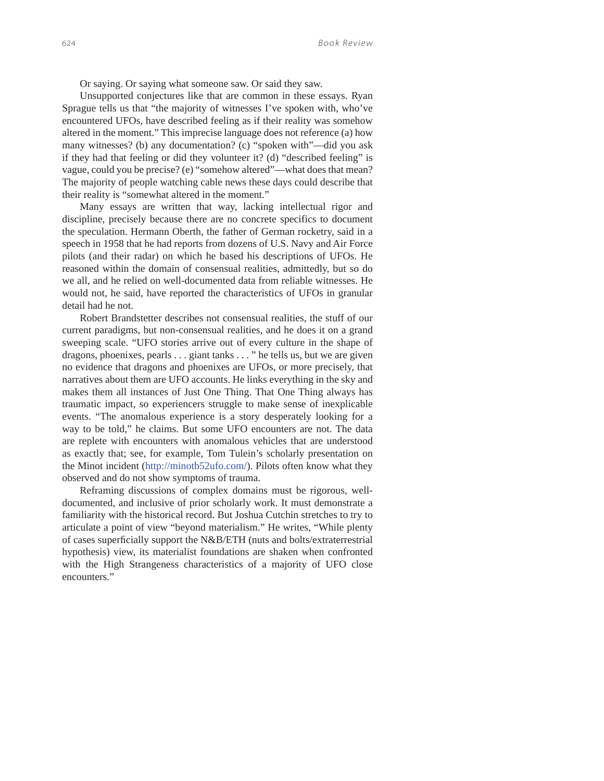Or saying. Or saying what someone saw. Or said they saw.

Unsupported conjectures like that are common in these essays. Ryan Sprague tells us that "the majority of witnesses I've spoken with, who've encountered UFOs, have described feeling as if their reality was somehow altered in the moment." This imprecise language does not reference (a) how many witnesses? (b) any documentation? (c) "spoken with"—did you ask if they had that feeling or did they volunteer it? (d) "described feeling" is vague, could you be precise? (e) "somehow altered"—what does that mean? The majority of people watching cable news these days could describe that their reality is "somewhat altered in the moment."

Many essays are written that way, lacking intellectual rigor and discipline, precisely because there are no concrete specifics to document the speculation. Hermann Oberth, the father of German rocketry, said in a speech in 1958 that he had reports from dozens of U.S. Navy and Air Force pilots (and their radar) on which he based his descriptions of UFOs. He reasoned within the domain of consensual realities, admittedly, but so do we all, and he relied on well-documented data from reliable witnesses. He would not, he said, have reported the characteristics of UFOs in granular detail had he not.

Robert Brandstetter describes not consensual realities, the stuff of our current paradigms, but non-consensual realities, and he does it on a grand sweeping scale. "UFO stories arrive out of every culture in the shape of dragons, phoenixes, pearls . . . giant tanks . . . " he tells us, but we are given no evidence that dragons and phoenixes are UFOs, or more precisely, that narratives about them are UFO accounts. He links everything in the sky and makes them all instances of Just One Thing. That One Thing always has traumatic impact, so experiencers struggle to make sense of inexplicable events. "The anomalous experience is a story desperately looking for a way to be told," he claims. But some UFO encounters are not. The data are replete with encounters with anomalous vehicles that are understood as exactly that; see, for example, Tom Tulein's scholarly presentation on the Minot incident (http://minotb52ufo.com/). Pilots often know what they observed and do not show symptoms of trauma.

Reframing discussions of complex domains must be rigorous, welldocumented, and inclusive of prior scholarly work. It must demonstrate a familiarity with the historical record. But Joshua Cutchin stretches to try to articulate a point of view "beyond materialism." He writes, "While plenty of cases superficially support the N&B/ETH (nuts and bolts/extraterrestrial hypothesis) view, its materialist foundations are shaken when confronted with the High Strangeness characteristics of a majority of UFO close encounters."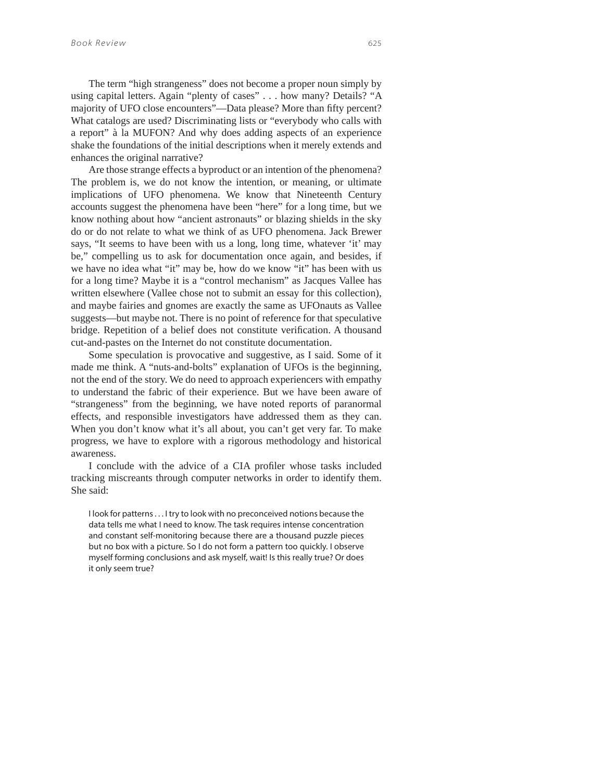The term "high strangeness" does not become a proper noun simply by using capital letters. Again "plenty of cases" . . . how many? Details? "A majority of UFO close encounters"—Data please? More than fifty percent? What catalogs are used? Discriminating lists or "everybody who calls with a report" à la MUFON? And why does adding aspects of an experience shake the foundations of the initial descriptions when it merely extends and enhances the original narrative?

Are those strange effects a byproduct or an intention of the phenomena? The problem is, we do not know the intention, or meaning, or ultimate implications of UFO phenomena. We know that Nineteenth Century accounts suggest the phenomena have been "here" for a long time, but we know nothing about how "ancient astronauts" or blazing shields in the sky do or do not relate to what we think of as UFO phenomena. Jack Brewer says, "It seems to have been with us a long, long time, whatever 'it' may be," compelling us to ask for documentation once again, and besides, if we have no idea what "it" may be, how do we know "it" has been with us for a long time? Maybe it is a "control mechanism" as Jacques Vallee has written elsewhere (Vallee chose not to submit an essay for this collection), and maybe fairies and gnomes are exactly the same as UFOnauts as Vallee suggests—but maybe not. There is no point of reference for that speculative bridge. Repetition of a belief does not constitute verification. A thousand cut-and-pastes on the Internet do not constitute documentation.

Some speculation is provocative and suggestive, as I said. Some of it made me think. A "nuts-and-bolts" explanation of UFOs is the beginning, not the end of the story. We do need to approach experiencers with empathy to understand the fabric of their experience. But we have been aware of "strangeness" from the beginning, we have noted reports of paranormal effects, and responsible investigators have addressed them as they can. When you don't know what it's all about, you can't get very far. To make progress, we have to explore with a rigorous methodology and historical awareness.

I conclude with the advice of a CIA profiler whose tasks included tracking miscreants through computer networks in order to identify them. She said:

I look for patterns . . . I try to look with no preconceived notions because the data tells me what I need to know. The task requires intense concentration and constant self-monitoring because there are a thousand puzzle pieces but no box with a picture. So I do not form a pattern too quickly. I observe myself forming conclusions and ask myself, wait! Is this really true? Or does it only seem true?